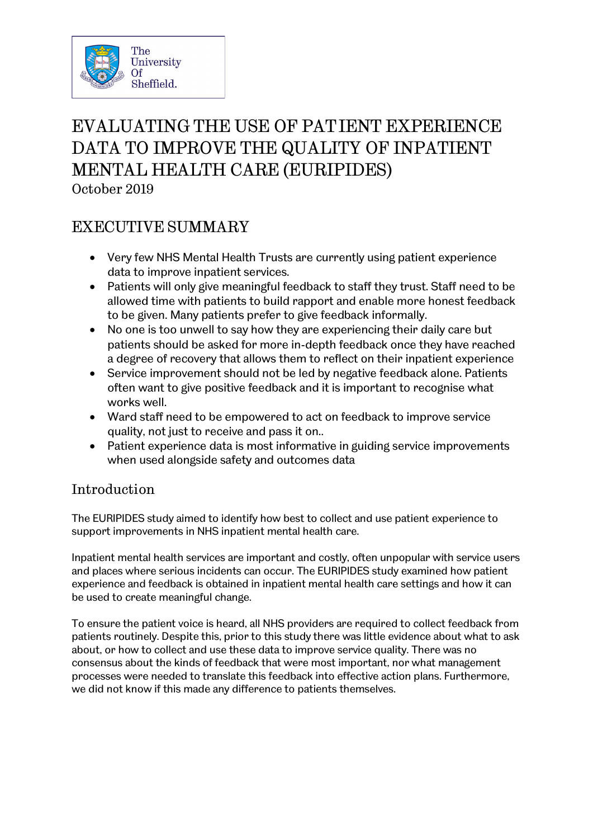

# EVALUATING THE USE OF PATIENT EXPERIENCE DATA TO IMPROVE THE QUALITY OF INPATIENT MENTAL HEALTH CARE (EURIPIDES) October 2019

## EXECUTIVE SUMMARY

- Very few NHS Mental Health Trusts are currently using patient experience data to improve inpatient services.
- Patients will only give meaningful feedback to staff they trust. Staff need to be allowed time with patients to build rapport and enable more honest feedback to be given. Many patients prefer to give feedback informally.
- No one is too unwell to say how they are experiencing their daily care but patients should be asked for more in-depth feedback once they have reached a degree of recovery that allows them to reflect on their inpatient experience
- Service improvement should not be led by negative feedback alone. Patients often want to give positive feedback and it is important to recognise what works well.
- Ward staff need to be empowered to act on feedback to improve service quality, not just to receive and pass it on..
- Patient experience data is most informative in guiding service improvements when used alongside safety and outcomes data

### Introduction

The EURIPIDES study aimed to identify how best to collect and use patient experience to support improvements in NHS inpatient mental health care.

Inpatient mental health services are important and costly, often unpopular with service users and places where serious incidents can occur. The EURIPIDES study examined how patient experience and feedback is obtained in inpatient mental health care settings and how it can be used to create meaningful change.

To ensure the patient voice is heard, all NHS providers are required to collect feedback from patients routinely. Despite this, prior to this study there was little evidence about what to ask about, or how to collect and use these data to improve service quality. There was no consensus about the kinds of feedback that were most important, nor what management processes were needed to translate this feedback into effective action plans. Furthermore, we did not know if this made any difference to patients themselves.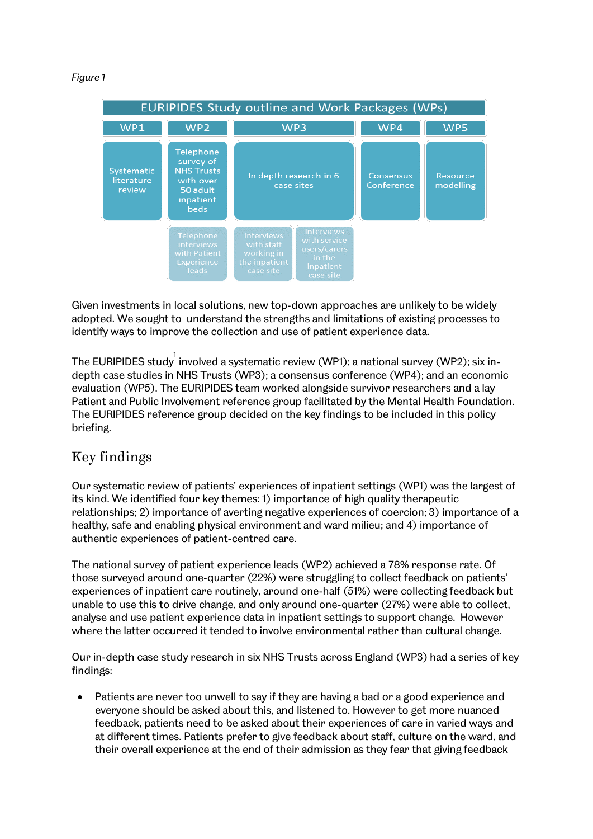#### *Figure 1*

| <b>EURIPIDES Study outline and Work Packages (WPs)</b> |                                                                                                  |                                                                                                                                                                      |                                |                       |
|--------------------------------------------------------|--------------------------------------------------------------------------------------------------|----------------------------------------------------------------------------------------------------------------------------------------------------------------------|--------------------------------|-----------------------|
| WP1                                                    | WP <sub>2</sub>                                                                                  | WP <sub>3</sub>                                                                                                                                                      | WP4                            | WP <sub>5</sub>       |
| Systematic<br>literature<br>review                     | Telephone<br>survey of<br><b>NHS Trusts</b><br>with over<br>50 adult<br>inpatient<br><b>beds</b> | In depth research in 6<br>case sites                                                                                                                                 | <b>Consensus</b><br>Conference | Resource<br>modelling |
|                                                        | Telephone<br>interviews<br>with Patient<br>Experience<br>leads                                   | <b>Interviews</b><br><b>Interviews</b><br>with service<br>with staff<br>users/carers<br>working in<br>in the<br>the inpatient<br>inpatient<br>case site<br>case site |                                |                       |

Given investments in local solutions, new top-down approaches are unlikely to be widely adopted. We sought to understand the strengths and limitations of existing processes to identify ways to improve the collection and use of patient experience data.

The EURIPIDES study  $^{\rm l}$  involved a systematic review (WP1); a national survey (WP2); six indepth case studies in NHS Trusts (WP3); a consensus conference (WP4); and an economic evaluation (WP5). The EURIPIDES team worked alongside survivor researchers and a lay Patient and Public Involvement reference group facilitated by the Mental Health Foundation. The EURIPIDES reference group decided on the key findings to be included in this policy briefing.

### Key findings

Our systematic review of patients' experiences of inpatient settings (WP1) was the largest of its kind. We identified four key themes: 1) importance of high quality therapeutic relationships; 2) importance of averting negative experiences of coercion; 3) importance of a healthy, safe and enabling physical environment and ward milieu; and 4) importance of authentic experiences of patient-centred care.

The national survey of patient experience leads (WP2) achieved a 78% response rate. Of those surveyed around one-quarter (22%) were struggling to collect feedback on patients' experiences of inpatient care routinely, around one-half (51%) were collecting feedback but unable to use this to drive change, and only around one-quarter (27%) were able to collect, analyse and use patient experience data in inpatient settings to support change. However where the latter occurred it tended to involve environmental rather than cultural change.

Our in-depth case study research in six NHS Trusts across England (WP3) had a series of key findings:

• Patients are never too unwell to say if they are having a bad or a good experience and everyone should be asked about this, and listened to. However to get more nuanced feedback, patients need to be asked about their experiences of care in varied ways and at different times. Patients prefer to give feedback about staff, culture on the ward, and their overall experience at the end of their admission as they fear that giving feedback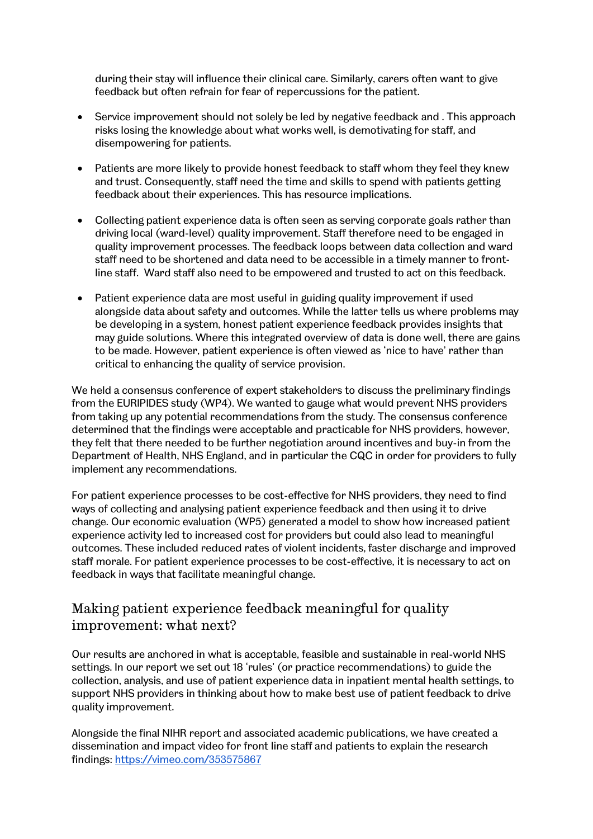during their stay will influence their clinical care. Similarly, carers often want to give feedback but often refrain for fear of repercussions for the patient.

- Service improvement should not solely be led by negative feedback and . This approach risks losing the knowledge about what works well, is demotivating for staff, and disempowering for patients.
- Patients are more likely to provide honest feedback to staff whom they feel they knew and trust. Consequently, staff need the time and skills to spend with patients getting feedback about their experiences. This has resource implications.
- Collecting patient experience data is often seen as serving corporate goals rather than driving local (ward-level) quality improvement. Staff therefore need to be engaged in quality improvement processes. The feedback loops between data collection and ward staff need to be shortened and data need to be accessible in a timely manner to frontline staff. Ward staff also need to be empowered and trusted to act on this feedback.
- Patient experience data are most useful in guiding quality improvement if used alongside data about safety and outcomes. While the latter tells us where problems may be developing in a system, honest patient experience feedback provides insights that may guide solutions. Where this integrated overview of data is done well, there are gains to be made. However, patient experience is often viewed as 'nice to have' rather than critical to enhancing the quality of service provision.

We held a consensus conference of expert stakeholders to discuss the preliminary findings from the EURIPIDES study (WP4). We wanted to gauge what would prevent NHS providers from taking up any potential recommendations from the study. The consensus conference determined that the findings were acceptable and practicable for NHS providers, however, they felt that there needed to be further negotiation around incentives and buy-in from the Department of Health, NHS England, and in particular the CQC in order for providers to fully implement any recommendations.

For patient experience processes to be cost-effective for NHS providers, they need to find ways of collecting and analysing patient experience feedback and then using it to drive change. Our economic evaluation (WP5) generated a model to show how increased patient experience activity led to increased cost for providers but could also lead to meaningful outcomes. These included reduced rates of violent incidents, faster discharge and improved staff morale. For patient experience processes to be cost-effective, it is necessary to act on feedback in ways that facilitate meaningful change.

### Making patient experience feedback meaningful for quality improvement: what next?

Our results are anchored in what is acceptable, feasible and sustainable in real-world NHS settings. In our report we set out 18 'rules' (or practice recommendations) to guide the collection, analysis, and use of patient experience data in inpatient mental health settings, to support NHS providers in thinking about how to make best use of patient feedback to drive quality improvement.

Alongside the final NIHR report and associated academic publications, we have created a dissemination and impact video for front line staff and patients to explain the research findings:<https://vimeo.com/353575867>